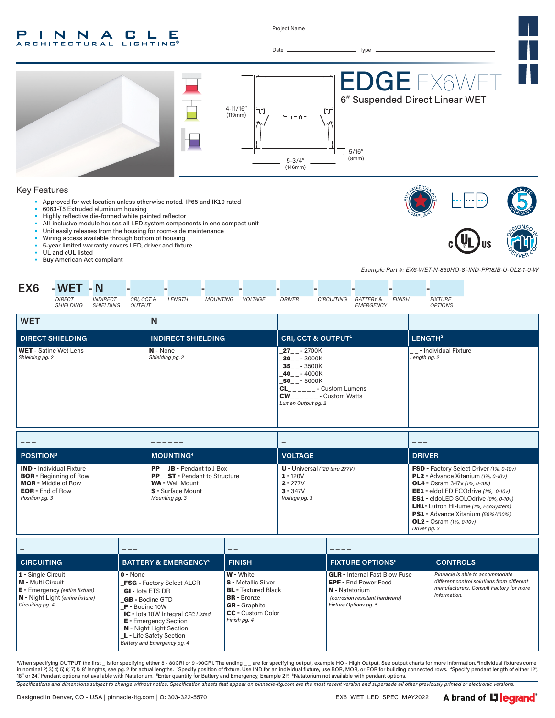#### P INNA **CLE ARCHITECTURAL LIGHTING**

Project Name



*Specifications and dimensions subject to change without notice. Specification sheets that appear on pinnacle-ltg.com are the most recent version and supersede all other previously printed or electronic versions.* When specifying OUTPUT the first \_ is for specifying either 8 - 80CRI or 9 -90CRI. The ending \_ \_ are for specifying output, example HO - High Output. See output charts for more information. <sup>2</sup>Individual fixtures come in nominal 2,'3,'4,'5,'6,'7,'& 8' lengths, see pg. 2 for actual lengths. "Specify position of fixture. Use IND for an individual fixture, use BOR, MOR, or EOR for building connected rows. "Specify pendant length of eit

A brand of Liegrand®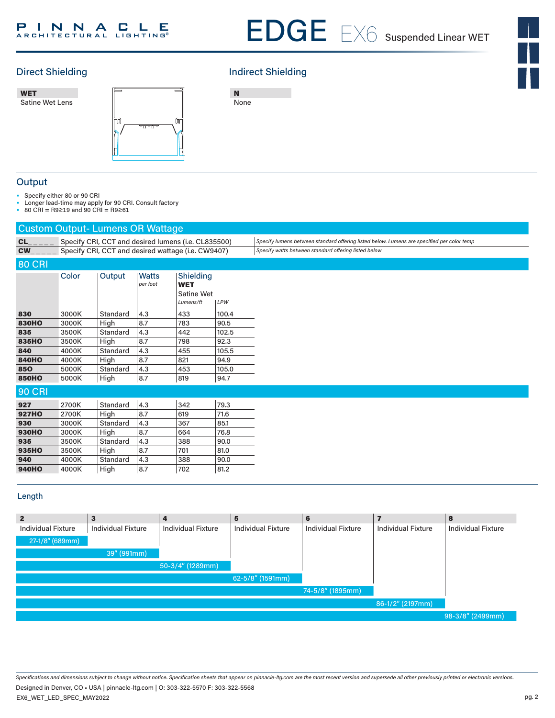# Direct Shielding **Indirect Shielding**

EDGE 6 ••**–**•<br>Satine Wet Lens WET



N None

### **Output**

• Specify either 80 or 90 CRI

• Longer lead-time may apply for 90 CRI. Consult factory

• 80 CRI = R9≥19 and 90 CRI = R9≥61

| <b>Custom Output-Lumens OR Wattage</b> |       |                                                     |                                                    |                                       |              |                                                                                            |  |  |
|----------------------------------------|-------|-----------------------------------------------------|----------------------------------------------------|---------------------------------------|--------------|--------------------------------------------------------------------------------------------|--|--|
| $CL$ <sub>_____</sub>                  |       | Specify CRI, CCT and desired lumens (i.e. CL835500) |                                                    |                                       |              | Specify lumens between standard offering listed below. Lumens are specified per color temp |  |  |
| $CW_{\_\_\_\_\_\_$                     |       |                                                     | Specify CRI, CCT and desired wattage (i.e. CW9407) |                                       |              | Specify watts between standard offering listed below                                       |  |  |
| <b>80 CRI</b>                          |       |                                                     |                                                    |                                       |              |                                                                                            |  |  |
|                                        | Color | Output                                              | <b>Watts</b><br>per foot                           | Shielding<br><b>WET</b><br>Satine Wet |              |                                                                                            |  |  |
| 830                                    | 3000K | Standard                                            | 4.3                                                | Lumens/ft<br>433                      | LPW<br>100.4 |                                                                                            |  |  |
| <b>830HO</b>                           | 3000K | High                                                | 8.7                                                | 783                                   | 90.5         |                                                                                            |  |  |
| 835                                    | 3500K | Standard                                            | 4.3                                                | 442                                   | 102.5        |                                                                                            |  |  |
| 835HO                                  | 3500K | High                                                | 8.7                                                | 798                                   | 92.3         |                                                                                            |  |  |
| 840                                    | 4000K | Standard                                            | 4.3                                                | 455                                   | 105.5        |                                                                                            |  |  |
| <b>840HO</b>                           | 4000K | High                                                | 8.7                                                | 821                                   | 94.9         |                                                                                            |  |  |
| 850                                    | 5000K | Standard                                            | 4.3                                                | 453                                   | 105.0        |                                                                                            |  |  |
| <b>850HO</b>                           | 5000K | High                                                | 8.7                                                | 819                                   | 94.7         |                                                                                            |  |  |
| <b>90 CRI</b>                          |       |                                                     |                                                    |                                       |              |                                                                                            |  |  |
| 927                                    | 2700K | Standard                                            | 4.3                                                | 342                                   | 79.3         |                                                                                            |  |  |
| <b>927HO</b>                           | 2700K | High                                                | 8.7                                                | 619                                   | 71.6         |                                                                                            |  |  |
| 930                                    | 3000K | Standard                                            | 4.3                                                | 367                                   | 85.1         |                                                                                            |  |  |
| <b>930HO</b>                           | 3000K | High                                                | 8.7                                                | 664                                   | 76.8         |                                                                                            |  |  |
| 935                                    | 3500K | Standard                                            | 4.3                                                | 388                                   | 90.0         |                                                                                            |  |  |
| 935HO                                  | 3500K | High                                                | 8.7                                                | 701                                   | 81.0         |                                                                                            |  |  |
| 940                                    | 4000K | Standard                                            | 4.3                                                | 388                                   | 90.0         |                                                                                            |  |  |
| <b>940HO</b>                           | 4000K | High                                                | 8.7                                                | 702                                   | 81.2         |                                                                                            |  |  |

### Length

| $\overline{2}$            | 3                         | 4                         | 5                         | 6                         |                           | 8                         |
|---------------------------|---------------------------|---------------------------|---------------------------|---------------------------|---------------------------|---------------------------|
| <b>Individual Fixture</b> | <b>Individual Fixture</b> | <b>Individual Fixture</b> | <b>Individual Fixture</b> | <b>Individual Fixture</b> | <b>Individual Fixture</b> | <b>Individual Fixture</b> |
| 27-1/8" (689mm)           |                           |                           |                           |                           |                           |                           |
|                           | 39" (991mm)               |                           |                           |                           |                           |                           |
|                           |                           | $50-3/4''$ (1289mm)       |                           |                           |                           |                           |
|                           |                           |                           | 62-5/8" (1591mm)          |                           |                           |                           |
|                           |                           |                           |                           | 74-5/8" (1895mm)          |                           |                           |
|                           |                           |                           |                           |                           | 86-1/2" (2197mm)          |                           |
|                           |                           |                           |                           |                           |                           | 98-3/8" (2499mm)          |

*Specifications and dimensions subject to change without notice. Specification sheets that appear on pinnacle-ltg.com are the most recent version and supersede all other previously printed or electronic versions.* EX6\_WET\_LED\_SPEC\_MAY2022 Designed in Denver, CO • USA | pinnacle-ltg.com | O: 303-322-5570 F: 303-322-5568

pg. 2

 $\frac{1}{\sqrt{2}}$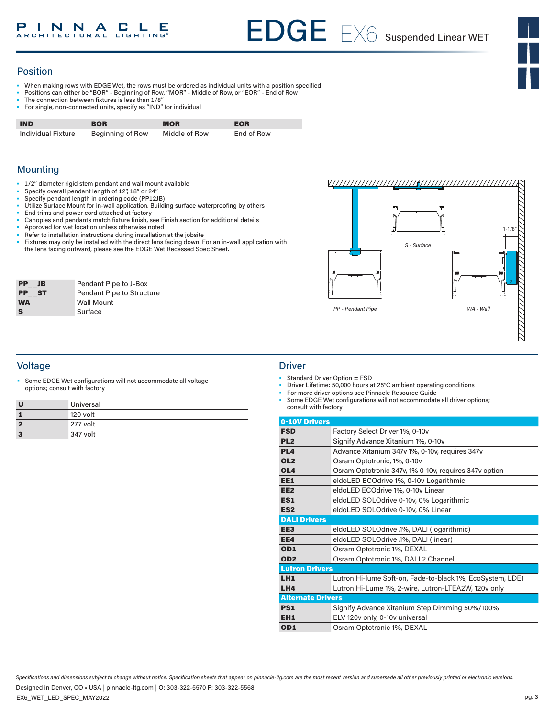

## Position

- When making rows with EDGE Wet, the rows must be ordered as individual units with a position specified
- Positions can either be "BOR" Beginning of Row, "MOR" Middle of Row, or "EOR" End of Row
- The connection between fixtures is less than 1/8"
- For single, non-connected units, specify as "IND" for individual

| <b>IND</b>         | <b>BOR</b>       | <b>MOR</b>    | <b>EOR</b> |
|--------------------|------------------|---------------|------------|
| Individual Fixture | Beginning of Row | Middle of Row | End of Row |

## **Mounting**

- 1/2" diameter rigid stem pendant and wall mount available
- Specify overall pendant length of 12", 18" or 24"
- Specify pendant length in ordering code (PP12JB)
- Utilize Surface Mount for in-wall application. Building surface waterproofing by others
- End trims and power cord attached at factory
- Canopies and pendants match fixture finish, see Finish section for additional details
- Approved for wet location unless otherwise noted
- Refer to installation instructions during installation at the jobsite
- Fixtures may only be installed with the direct lens facing down. For an in-wall application with the lens facing outward, please see the EDGE Wet Recessed Spec Sheet.

| <b>PP</b><br>JB        | Pendant Pipe to J-Box            |
|------------------------|----------------------------------|
| <b>PP</b><br><b>ST</b> | <b>Pendant Pipe to Structure</b> |
| <b>WA</b>              | <b>Wall Mount</b>                |
| <b>S</b>               | Surface                          |

## Voltage Driver

Some EDGE Wet configurations will not accommodate all voltage options; consult with factory

| U                       | Universal |
|-------------------------|-----------|
|                         | 120 volt  |
| $\overline{\mathbf{z}}$ | 277 volt  |
| 3                       | 347 volt  |





- Standard Driver Option = FSD
- Driver Lifetime: 50,000 hours at 25°C ambient operating conditions
- For more driver options see Pinnacle Resource Guide
- Some EDGE Wet configurations will not accommodate all driver options; consult with factory

| 0-10V Drivers            |                                                           |
|--------------------------|-----------------------------------------------------------|
| <b>FSD</b>               | Factory Select Driver 1%, 0-10y                           |
| PL <sub>2</sub>          | Signify Advance Xitanium 1%, 0-10v                        |
| PL <sub>4</sub>          | Advance Xitanium 347v 1%, 0-10v, requires 347v            |
| OL <sub>2</sub>          | Osram Optotronic, 1%, 0-10v                               |
| OL <sub>4</sub>          | Osram Optotronic 347v, 1% 0-10v, requires 347v option     |
| EE1                      | eldoLED ECOdrive 1%, 0-10v Logarithmic                    |
| EE <sub>2</sub>          | eldoLED ECOdrive 1%, 0-10v Linear                         |
| ES <sub>1</sub>          | eldoLED SOLOdrive 0-10v, 0% Logarithmic                   |
| ES <sub>2</sub>          | eldoLED SOLOdrive 0-10v, 0% Linear                        |
| <b>DALI Drivers</b>      |                                                           |
| EE <sub>3</sub>          | eldoLED SOLOdrive .1%, DALI (logarithmic)                 |
| EE4                      | eldoLED SOLOdrive .1%, DALI (linear)                      |
| OD <sub>1</sub>          | Osram Optotronic 1%, DEXAL                                |
| OD <sub>2</sub>          | Osram Optotronic 1%, DALI 2 Channel                       |
| <b>Lutron Drivers</b>    |                                                           |
| LH <sub>1</sub>          | Lutron Hi-lume Soft-on, Fade-to-black 1%, EcoSystem, LDE1 |
| LH4                      | Lutron Hi-Lume 1%, 2-wire, Lutron-LTEA2W, 120v only       |
| <b>Alternate Drivers</b> |                                                           |
| <b>PS1</b>               | Signify Advance Xitanium Step Dimming 50%/100%            |
| EH <sub>1</sub>          | ELV 120v only, 0-10v universal                            |
| OD <sub>1</sub>          | Osram Optotronic 1%, DEXAL                                |
|                          |                                                           |

*Specifications and dimensions subject to change without notice. Specification sheets that appear on pinnacle-ltg.com are the most recent version and supersede all other previously printed or electronic versions.*

EX6\_WET\_LED\_SPEC\_MAY2022 Designed in Denver, CO • USA | pinnacle-ltg.com | O: 303-322-5570 F: 303-322-5568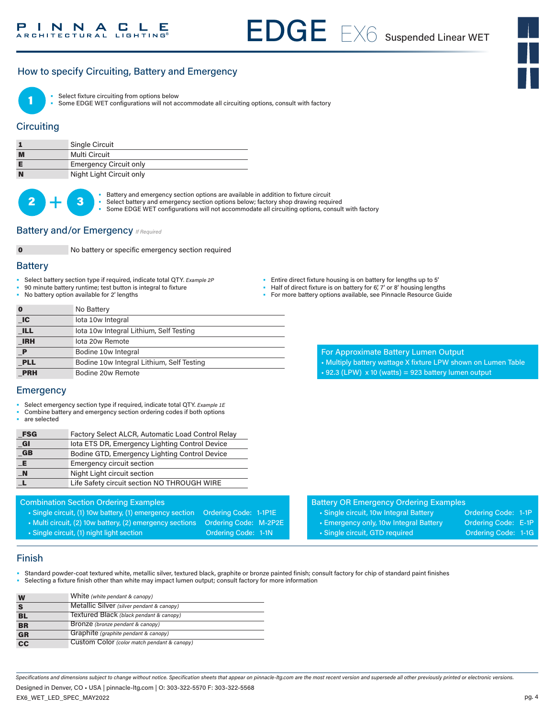## How to specify Circuiting, Battery and Emergency



Select fixture circuiting from options below

• Some EDGE WET configurations will not accommodate all circuiting options, consult with factory

### **Circuiting**

|   | Single Circuit                |
|---|-------------------------------|
| M | Multi Circuit                 |
|   | <b>Emergency Circuit only</b> |
| N | Night Light Circuit only      |

 $2 +$ 

Battery and emergency section options are available in addition to fixture circuit

- Select battery and emergency section options below; factory shop drawing required
	- Some EDGE WET configurations will not accommodate all circuiting options, consult with factory

#### **Battery and/or Emergency** *If Required*



0 No battery or specific emergency section required

#### **Battery**

- Select battery section type if required, indicate total QTY*. Example 2P*
- 90 minute battery runtime; test button is integral to fixture
- No battery option available for 2' lengths

| • Entire direct fixture housing is on battery for lengths up to 5' |  |  |
|--------------------------------------------------------------------|--|--|
|                                                                    |  |  |

- Half of direct fixture is on battery for 6', 7' or 8' housing lengths
- For more battery options available, see Pinnacle Resource Guide

| $\bf{0}$     | No Battery                                |
|--------------|-------------------------------------------|
| $\Box C$     | lota 10w Integral                         |
| <b>ILL</b>   | lota 10w Integral Lithium, Self Testing   |
| <b>IRH</b>   | lota 20w Remote                           |
| $\mathbf{P}$ | Bodine 10w Integral                       |
| <b>PLL</b>   | Bodine 10w Integral Lithium, Self Testing |
| <b>PRH</b>   | Bodine 20w Remote                         |

- For Approximate Battery Lumen Output
- Multiply battery wattage X fixture LPW shown on Lumen Table
- $\cdot$  92.3 (LPW) x 10 (watts) = 923 battery lumen output

## **Emergency**

- Select emergency section type if required, indicate total QTY. *Example 1E*
- Combine battery and emergency section ordering codes if both options
- are selected

| Factory Select ALCR, Automatic Load Control Relay |
|---------------------------------------------------|
| lota ETS DR, Emergency Lighting Control Device    |
| Bodine GTD, Emergency Lighting Control Device     |
| <b>Emergency circuit section</b>                  |
| Night Light circuit section                       |
| Life Safety circuit section NO THROUGH WIRE       |
|                                                   |

#### Combination Section Ordering Examples

- Single circuit, (1) 10w battery, (1) emergency section Ordering Code: 1-1P1E
- Multi circuit, (2) 10w battery, (2) emergency sections Ordering Code: M-2P2E
- Single circuit, (1) night light section **Ordering Code: 1-1N**
- Battery OR Emergency Ordering Examples
	- Single circuit, 10w Integral Battery **Ordering Code: 1-1P** • Emergency only, 10w Integral Battery Cordering Code: E-1P
	- Single circuit, GTD required Condering Code: 1-1G
- 

Finish

• Standard powder-coat textured white, metallic silver, textured black, graphite or bronze painted finish; consult factory for chip of standard paint finishes • Selecting a fixture finish other than white may impact lumen output; consult factory for more information

| W               | White (white pendant & canopy)              |
|-----------------|---------------------------------------------|
|                 | Metallic Silver (silver pendant & canopy)   |
| BL              | Textured Black (black pendant & canopy)     |
| <b>BR</b>       | Bronze (bronze pendant & canopy)            |
| <b>GR</b>       | Graphite (graphite pendant & canopy)        |
| $\overline{cc}$ | Custom Color (color match pendant & canopy) |

*Specifications and dimensions subject to change without notice. Specification sheets that appear on pinnacle-ltg.com are the most recent version and supersede all other previously printed or electronic versions.*

EX6\_WET\_LED\_SPEC\_MAY2022 Designed in Denver, CO • USA | pinnacle-ltg.com | O: 303-322-5570 F: 303-322-5568